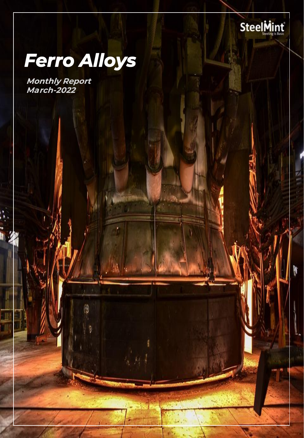

W

# **Ferro Alloys**

*Monthly Report March-2022*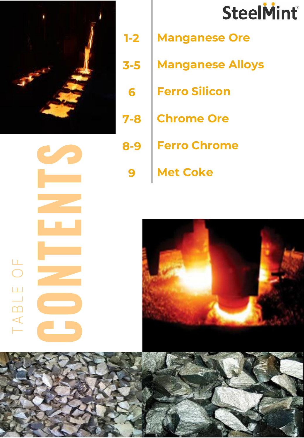

# *1-2 3-5 6 7-8*

*8-9*

*9*

# **SteelMint®**

- *Manganese Ore*
- *Manganese Alloys*
- *Ferro Silicon*
- *Chrome Ore*

*Met Coke*

*Ferro Chrome*

**The Co** TABLE OF erikan<br>Kabupatèn





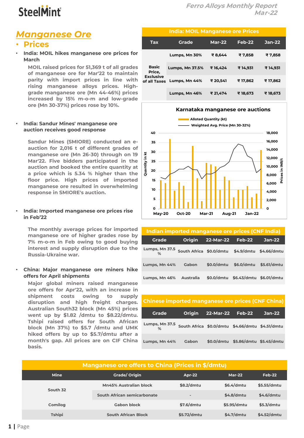### *Manganese Ore*

### • *Prices*

• **India: MOIL hikes manganese ore prices for March**

*MOIL raised prices for 51,369 t of all grades of manganese ore for Mar'22 to maintain parity with import prices in line with rising manganese alloys prices. Highgrade manganese ore (Mn 44-46%) prices increased by 15% m-o-m and low-grade ore (Mn 30-37%) prices rose by 10%.*

#### • **India: Sandur Mines' manganese ore auction receives good response**

*Sandur Mines (SMIORE) conducted an eauction for 2,016 t of different grades of manganese ore (Mn 26-30) through on 19 Mar'22. Five bidders participated in the auction and booked the entire quantity at a price which is 5.34 % higher than the floor price. High prices of imported manganese ore resulted in overwhelming response in SMIORE's auction.*

#### • **India: Imported manganese ore prices rise in Feb'22**

*The monthly average prices for imported manganese ore of higher grades rose by 7% m-o-m in Feb owing to good buying interest and supply disruption due to the Russia-Ukraine war.*

#### • **China: Major manganese ore miners hike offers for April shipments**

*Major global miners raised manganese ore offers for Apr'22, with an increase in shipment costs owing to supply disruption and high freight charges. Australian South32 block (Mn 45%) prices went up by \$1.82 /dmtu to \$8.22/dmtu. Tshipi raised offers for South African block (Mn 37%) to \$5.7 /dmtu and UMK hiked offers by up to \$5.7/dmtu after a month's gap. All prices are on CIF China basis.*

### *India: MOIL Manganese ore Prices*

| Tax                                                        | Grade                  | <b>Mar-22</b> | <b>Feb-22</b> | $Jan-22$ |
|------------------------------------------------------------|------------------------|---------------|---------------|----------|
|                                                            | Lumps, Mn 30%          | ₹8,644        | ₹7,858        | ₹7,858   |
| <b>Basic</b><br>Price,<br><b>Exclusive</b><br>of all Taxes | <b>Lumps, Mn 37.5%</b> | ₹16.424       | ₹14.931       | ₹ 14,931 |
|                                                            | Lumps, Mn 44%          | ₹ 20,541      | ₹ 17,862      | ₹ 17,862 |
|                                                            | Lumps, Mn 46%          | ₹ 21,474      | ₹ 18,673      | ₹ 18,673 |



| Indian imported manganese ore prices (CNF India)              |                  |           |                                    |          |  |  |  |  |
|---------------------------------------------------------------|------------------|-----------|------------------------------------|----------|--|--|--|--|
| <b>Grade</b>                                                  | <b>Origin</b>    | 22-Mar-22 | Feb-22                             | $Jan-22$ |  |  |  |  |
| Lumps, Mn 37.5 South Africa \$0.0/dmtu \$4.9/dmtu \$4.66/dmtu |                  |           |                                    |          |  |  |  |  |
| Lumps, Mn 44%                                                 | Gabon            |           | \$0.0/dmtu \$6.0/dmtu \$5.61/dmtu  |          |  |  |  |  |
| Lumps, Mn 46%                                                 | <b>Australia</b> |           | \$0.0/dmtu \$6.43/dmtu \$6.01/dmtu |          |  |  |  |  |

*Chinese imported manganese ore prices (CNF China)*

*Grade Origin 22-Mar-22 Feb-22 Jan-22*

*% South Africa \$0.0/dmtu \$4.66/dmtu \$4.51/dmtu*

### *Lumps, Mn 44% Gabon \$0.0/dmtu \$5.86/dmtu \$5.45/dmtu Manganese ore offers to China (Prices in \$/dmtu) Mine Grade/ Origin Apr-22 Mar-22 Feb-22 South 32 Mn45% Australian block \$8.2/dmtu \$6.4/dmtu \$5.55/dmtu South African semicarbonate - \$4.8/dmtu \$4.6/dmtu Comilog Gabon block \$7.6/dmtu \$5.95/dmtu \$5.3/dmtu Tshipi South African Block \$5.72/dmtu \$4.7/dmtu \$4.52/dmtu*

*Lumps, Mn 37.5*

### **1 |** Page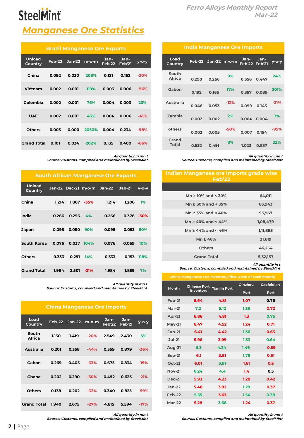|                        | <b>India Manganese Ore Imports</b> |                     |        |                              |             |          |  |  |
|------------------------|------------------------------------|---------------------|--------|------------------------------|-------------|----------|--|--|
| Load<br>Country        |                                    | Feb-22 Jan-22 m-o-m |        | Jan-<br><b>Feb'22 Feb'21</b> | Jan-        | $V$ -O-V |  |  |
| South<br><b>Africa</b> | 0.290                              | 0.266               | 9%     | 0.556                        | 0.447       | 24%      |  |  |
| Gabon                  | 0.192                              | 0.165               | 17%    |                              | 0.357 0.089 | 301%     |  |  |
| Australia              | 0.046                              | 0.053               | $-12%$ | 0.099                        | 0.143       | -31%     |  |  |
| Zambia                 | 0.002                              | 0.002               | 2%     | 0.004                        | 0.004       | 3%       |  |  |
| others                 | 0.002                              | 0.005               | $-58%$ | 0.007                        | 0.154       | -95%     |  |  |
| Grand<br>Total         | 0.532                              | 0.491               | 8%     | 1.023                        | 0.837       | 22%      |  |  |

*All quantity in mn t Source: Customs, compiled and maintained by SteelMint*

#### *Indian Manganese ore imports grade wise Feb'22*

| Mn $\geq$ 10% and < 30%        | 64.011   |
|--------------------------------|----------|
| Mn $\geq$ 30% and < 35%        | 83.943   |
| Mn $\ge$ 35% and < 40%         | 95,967   |
| Mn $\geq 40\%$ and $\leq 44\%$ | 1,08,479 |
| Mn $\geq$ 44% and < 46%        | 1,11,883 |
| $Mn \geq 46%$                  | 21,619   |
| <b>Others</b>                  | 46,254   |
| <b>Grand Total</b>             | 5,32,157 |
|                                |          |

### *All quantity in t Source: Customs, compiled and maintained by SteelMint*

#### *China: Manganese Ore inventory (first week of each month)*

| China: Manganese Ore Inventory (first week of each month) |                     |                     |             |            |  |  |  |
|-----------------------------------------------------------|---------------------|---------------------|-------------|------------|--|--|--|
| <b>Month</b>                                              | <b>Chinese Port</b> | <b>Tianjin Port</b> | Qinzhou     | Caofeidian |  |  |  |
|                                                           | <b>Inventory</b>    |                     | <b>Port</b> | Port       |  |  |  |
| <b>Feb-21</b>                                             | 6.64                | 4.81                | 1.07        | 0.76       |  |  |  |
| $Mar-21$                                                  | 7.2                 | 5.12                | 1.36        | 0.72       |  |  |  |
| <b>Apr-21</b>                                             | 6.86                | 4.81                | 1.3         | 0.75       |  |  |  |
| $May-21$                                                  | 6.47                | 4.52                | 1.24        | 0.71       |  |  |  |
| $Jun-21$                                                  | 6.41                | 4.42                | 1.36        | 0.63       |  |  |  |
| $Jul-21$                                                  | 5.96                | 3.99                | 1.33        | 0.64       |  |  |  |
| <b>Aug-21</b>                                             | 6.3                 | 4.24                | 1.49        | 0.59       |  |  |  |
| <b>Sep-21</b>                                             | 6.1                 | 3.81                | 1.78        | 0.51       |  |  |  |
| <b>Oct-21</b>                                             | 6.01                | 3.91                | 1.61        | 0.5        |  |  |  |
| <b>Nov-21</b>                                             | 6.24                | 4.4                 | 1.4         | 0.5        |  |  |  |
| <b>Dec-21</b>                                             | 5.93                | 4.23                | 1.28        | 0.42       |  |  |  |
| $Jan-22$                                                  | 5.48                | 3.82                | 1.29        | 0.37       |  |  |  |
| Feb-22                                                    | 5.55                | 3.63                | 1.54        | 0.38       |  |  |  |
| <b>Mar-22</b>                                             | 5.28                | 3.68                | 1.24        | 0.37       |  |  |  |

*Source: Customs, compiled and maintained by SteelMint*

*All quantity in mn t*

## **SteelMint**

### *Manganese Ore Statistics*

| <b>Brazil Manganese Ore Exports</b> |        |              |       |                |                       |        |  |  |
|-------------------------------------|--------|--------------|-------|----------------|-----------------------|--------|--|--|
| <b>Unload</b><br><b>Country</b>     | Feb-22 | Jan-22 m-o-m |       | Jan-<br>Feb'22 | Jan-<br><b>Feb'21</b> | у-о-у  |  |  |
| China                               | 0.092  | 0.030        | 208%  | 0.121          | 0.152                 | $-20%$ |  |  |
| Vietnam                             | 0.002  | 0.001        | 119%  | 0.003          | 0.006                 | $-56%$ |  |  |
| Colombia                            | 0.002  | 0.001        | 76%   | 0.004          | 0.003                 | 23%    |  |  |
| <b>UAE</b>                          | 0.002  | 0.001        | 43%   | 0.004          | 0.006                 | $-41%$ |  |  |
| <b>Others</b>                       | 0.003  | 0.000        | 2050% | 0.004          | 0.234                 | $-98%$ |  |  |
| <b>Grand Total</b>                  | 0.101  | 0.034        | 202%  | 0.135          | 0.400                 | $-66%$ |  |  |

*All quantity in mn t Source: Customs, compiled and maintained by SteelMint*

| <b>South African Manganese Ore Exports</b> |       |       |                            |       |               |         |  |
|--------------------------------------------|-------|-------|----------------------------|-------|---------------|---------|--|
| <b>Unload</b><br>Country                   |       |       | Jan-22 Dec-21 m-o-m Jan-22 |       | <b>Jan-21</b> | $V-O-V$ |  |
| China                                      | 1.214 | 1.867 | -35%                       | 1.214 | 1.206         | 1%      |  |
| India                                      | 0.266 | 0.256 | 4%                         | 0.266 | 0.378         | $-30%$  |  |
| Japan                                      | 0.095 | 0.050 | 90%                        | 0.095 | 0.053         | 80%     |  |
| South Korea                                | 0.076 |       | $0.037$ $104\%$            | 0.076 | 0.069         | 10%     |  |
| <b>Others</b>                              | 0.333 | 0.291 | <b>14%</b>                 | 0.333 | 0.153         | 118%    |  |
| <b>Grand Total</b>                         | 1.984 | 2.501 | $-21%$                     | 1.984 | 1.859         | 7%      |  |

*All quantity in mn t Source: Customs, compiled and maintained by SteelMint*

#### *China Manganese Ore Imports*

| Load<br><b>Country</b> |       | Feb-22 Jan-22 | $m$ -o-m | Jan-<br>Feb'22 | Jan-<br>Feb'21 | у-о-у  |
|------------------------|-------|---------------|----------|----------------|----------------|--------|
| South<br><b>Africa</b> | 1.130 | 1.419         | $-20%$   | 2.549          | 2.430          | 5%     |
| Australia              | 0.201 | 0.358         | $-44%$   | 0.559          | 0.879          | $-36%$ |
| Gabon                  | 0.269 | 0.405         | $-33%$   | 0.675          | 0.834          | $-19%$ |
| Ghana                  | 0.202 | 0.290         | $-30%$   | 0.492          | 0.625          | $-21%$ |
| <b>Others</b>          | 0.138 | 0.202         | $-32%$   | 0.340          | 0.825          | $-59%$ |
| <b>Grand Total</b>     | 1.940 | 2.675         | $-27%$   | 4.615          | 5.594          | $-17%$ |

*All quantity in mn t*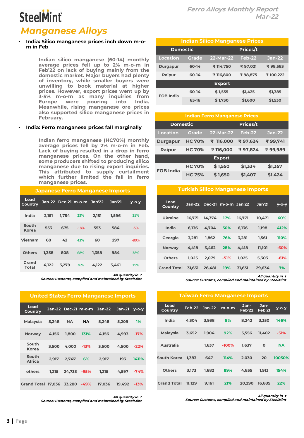### *Manganese Alloys*

#### • **India: Silico manganese prices inch down m-om in Feb**

*Indian silico manganese (60-14) monthly average prices fell up to 2% m-o-m in Feb'22 on lack of buying mainly from the domestic market. Major buyers had plenty of inventory, while smaller buyers were unwilling to book material at higher prices. However, export prices went up by 3-5% m-o-m as many inquiries from Europe were pouring into India. Meanwhile, rising manganese ore prices also supported silico manganese prices in February.*

#### • **India: Ferro manganese prices fall marginally**

*Indian ferro manganese (HC70%) monthly average prices fell by 2% m-o-m in Feb. Lack of buying resulted in a drop in ferro manganese prices. On the other hand, some producers shifted to producing silico manganese due to rising export inquiries. This attributed to supply curtailment which further limited the fall in ferro manganese prices.*

| <b>Japanese Ferro Manganese Imports</b> |       |       |                            |       |               |             |  |
|-----------------------------------------|-------|-------|----------------------------|-------|---------------|-------------|--|
| Load<br>Country                         |       |       | Jan-22 Dec-21 m-o-m Jan'22 |       | <b>Jan'21</b> | $v$ -o- $v$ |  |
| India                                   | 2.151 | 1.754 | 23%                        | 2.151 | 1,596         | 35%         |  |
| South<br>Korea                          | 553   | 675   | $-18%$                     | 553   | 584           | $-5%$       |  |
| Vietnam                                 | 60    | 42    | 43%                        | 60    | 297           | $-80%$      |  |
| Others                                  | 1.358 | 808   | 68%                        | 1.358 | 984           | 38%         |  |
| Grand<br>Total                          | 4.122 | 3.279 | 26%                        | 4.122 | 3.461         | 19%         |  |

*All quantity in t*

*Source: Customs, compiled and maintained by SteelMint*

|                           |       |           |        | <b>United States Ferro Manganese Imports</b> |          |         |
|---------------------------|-------|-----------|--------|----------------------------------------------|----------|---------|
| Load<br>Country           |       |           |        | Jan-22 Dec-21 m-o-m Jan-22                   | $Jan-21$ | $V-O-V$ |
| Malaysia                  | 5.248 | <b>NA</b> | NA.    | 5.248                                        | 5.209    | 1%      |
| <b>Norway</b>             | 4.156 | 1.800     | 131%   | 4.156                                        | 4.993    | $-17%$  |
| South<br><b>Korea</b>     | 3.500 | 4.000     | $-13%$ | 3.500                                        | 4,500    | $-22%$  |
| South<br><b>Africa</b>    | 2.917 | 2.747     | 6%     | 2.917                                        | 193      | 1411%   |
| others                    | 1.215 | 24.733    | $-95%$ | 1.215                                        | 4.597    | $-74%$  |
| Grand Total 17.036 33.280 |       |           | $-49%$ | 17.036                                       | 19.492   | -13%    |

*All quantity in t Source: Customs, compiled and maintained by SteelMint*

| <b>Indian Silico Manganese Prices</b> |              |               |               |          |  |  |  |
|---------------------------------------|--------------|---------------|---------------|----------|--|--|--|
| <b>Domestic</b>                       |              | Prices/t      |               |          |  |  |  |
| <b>Location</b>                       | <b>Grade</b> | 22-Mar-22     | <b>Feb-22</b> | Jan-22   |  |  |  |
| <b>Durgapur</b>                       | 60-14        | ₹ 114.750     | ₹97,021       | ₹98,583  |  |  |  |
| Raipur                                | 60-14        | ₹ 116,800     | ₹98,875       | ₹100,222 |  |  |  |
|                                       |              | <b>Export</b> |               |          |  |  |  |
| <b>FOB India</b>                      | 60-14        | \$1,555       | \$1,425       | \$1,385  |  |  |  |
|                                       | 65-16        | \$1,730       | \$1,600       | \$1,530  |  |  |  |

| <b>Indian Ferro Manganese Prices</b> |               |               |          |               |  |  |  |
|--------------------------------------|---------------|---------------|----------|---------------|--|--|--|
| <b>Domestic</b>                      |               |               | Prices/t |               |  |  |  |
| <b>Location</b>                      | <b>Grade</b>  | 22-Mar-22     | Feb-22   | <b>Jan-22</b> |  |  |  |
| <b>Durgapur</b>                      | <b>HC 70%</b> | ₹ 116.000     | ₹97.624  | ₹99,741       |  |  |  |
| Raipur                               | <b>HC 70%</b> | ₹116.000      | ₹97.824  | ₹99.989       |  |  |  |
|                                      |               | <b>Export</b> |          |               |  |  |  |
| <b>FOB India</b>                     | <b>HC 70%</b> | \$1,550       | \$1,334  | \$1,357       |  |  |  |
|                                      | <b>HC 75%</b> | \$1,650       | \$1,407  | \$1,424       |  |  |  |

| Load<br><b>Country</b> | Jan-22 |        | Dec-21 m-o-m Jan'22 |        | <b>Jan'21</b> | $V - O - V$ |
|------------------------|--------|--------|---------------------|--------|---------------|-------------|
| Ukraine                | 16.771 | 14.374 | 17%                 | 16.771 | 10.471        | 60%         |
| India                  | 6.136  | 4.704  | 30%                 | 6.136  | 1.198         | 412%        |
| Georgia                | 3.281  | 1.862  | 76%                 | 3.281  | 1.561         | 110%        |
| <b>Norway</b>          | 4.418  | 3.462  | 28%                 | 4.418  | 11.101        | $-60%$      |
| <b>Others</b>          | 1.025  | 2.079  | $-51%$              | 1.025  | 5.303         | $-81%$      |
| <b>Grand Total</b>     | 31.631 | 26,481 | 19%                 | 31.631 | 29.634        | 7%          |

*Turkish Silico Manganese Imports*

*All quantity in t*

*Source: Customs, compiled and maintained by SteelMint*

| ranvari i ciro mangancse mipores |        |               |         |                |                       |             |  |  |  |  |
|----------------------------------|--------|---------------|---------|----------------|-----------------------|-------------|--|--|--|--|
| Load<br>Country                  |        | Feb-22 Jan-22 | m-o-m   | Jan-<br>Feb'22 | Jan-<br><b>Feb'21</b> | $V - O - V$ |  |  |  |  |
| India                            | 4.304  | 3,938         | 9%      | 8,242          | 3,350                 | 146%        |  |  |  |  |
| <b>Malaysia</b>                  | 3,652  | 1.904         | 92%     | 5.556          | 11.402                | $-51%$      |  |  |  |  |
| Australia                        |        | 1.637         | $-100%$ | 1.637          | 0                     | <b>NA</b>   |  |  |  |  |
| South Korea                      | 1.383  | 647           | 114%    | 2,030          | 20                    | 10050%      |  |  |  |  |
| <b>Others</b>                    | 3,173  | 1.682         | 89%     | 4.855          | 1.913                 | 154%        |  |  |  |  |
| <b>Grand Total</b>               | 11.129 | 9.161         | 21%     | 20.290         | 16.685                | 22%         |  |  |  |  |

*Taiwan Ferro Manganese Imports*

*All quantity in t*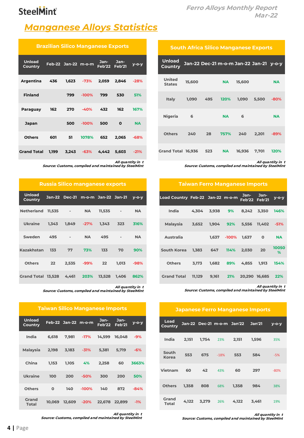### *Manganese Alloys Statistics*

| <b>Brazilian Silico Manganese Exports</b> |       |                     |         |                |                       |           |  |  |  |
|-------------------------------------------|-------|---------------------|---------|----------------|-----------------------|-----------|--|--|--|
| <b>Unload</b><br><b>Country</b>           |       | Feb-22 Jan-22 m-o-m |         | Jan-<br>Feb'22 | Jan-<br><b>Feb'21</b> | у-о-у     |  |  |  |
| Argentina                                 | 436   | 1,623               | $-73%$  | 2,059          | 2,846                 | $-28%$    |  |  |  |
| <b>Finland</b>                            |       | 799                 | $-100%$ | 799            | 530                   | 51%       |  |  |  |
| Paraguay                                  | 162   | 270                 | $-40%$  | 432            | 162                   | 167%      |  |  |  |
| <b>Japan</b>                              |       | 500                 | $-100%$ | 500            | 0                     | <b>NA</b> |  |  |  |
| <b>Others</b>                             | 601   | 51                  | 1078%   | 652            | 2,065                 | $-68%$    |  |  |  |
| <b>Grand Total</b>                        | 1,199 | 3,243               | $-63%$  | 4,442          | 5,603                 | $-21%$    |  |  |  |

*All quantity in t Source: Customs, compiled and maintained by SteelMint*

|                          | <b>Russia Silico manganese exports</b> |        |                                   |              |       |             |  |  |  |
|--------------------------|----------------------------------------|--------|-----------------------------------|--------------|-------|-------------|--|--|--|
| <b>Unload</b><br>Country |                                        |        | Jan-22 Dec-21 m-o-m Jan-22 Jan-21 |              |       | $V - O - V$ |  |  |  |
| Netherland               | $11,535$ -                             |        | <b>NA</b>                         | $11,535 - 1$ |       | <b>NA</b>   |  |  |  |
| <b>Ukraine</b>           | 1.343                                  | 1.849  | $-27%$                            | 1.343        | 323   | 316%        |  |  |  |
| Sweden                   | 495 -                                  |        | <b>NA</b>                         | 495 —        |       | <b>NA</b>   |  |  |  |
| <b>Kazakhstan</b>        |                                        | 133 77 | 73%                               | 133          | 70    | 90%         |  |  |  |
| Others                   | 22                                     |        | 2,535 -99%                        | 22           | 1.013 | $-98%$      |  |  |  |
| Grand Total 13,528 4,461 |                                        |        | 203%                              | 13,528       | 1.406 | 862%        |  |  |  |

*All quantity in t Source: Customs, compiled and maintained by SteelMint*

**Feb'21 y-o-y**

| <b>Unload</b><br>Country |       | Feb-22 Jan-22 m-o-m Jan- Jan-<br>Feb'22 Feb'21 |  | y-o-y |
|--------------------------|-------|------------------------------------------------|--|-------|
| India                    | 6.618 | 7.981 - 17% 14.599 16.048                      |  | -9%   |

*Taiwan Silico Manganese Imports*

| Malavsia       | 2.198    | 3,183  | $-31%$  | 5,381 | 5.719         | $-6%$  |
|----------------|----------|--------|---------|-------|---------------|--------|
| China          | 1.153    | 1,105  | 4%      | 2,258 | 60            | 3663%  |
| Ukraine        | 100      | 200    | $-50%$  | 300   | 200           | 50%    |
| <b>Others</b>  | $\Omega$ | 140    | $-100%$ | 140   | 872           | $-84%$ |
| Grand<br>Total | 10.069   | 12.609 | $-20%$  |       | 22.678 22.899 | $-1%$  |

*All quantity in t Source: Customs, compiled and maintained by SteelMint*

#### *South Africa Silico Manganese Exports*

| <b>Unload</b><br><b>Country</b> |        |     |           | Jan-22 Dec-21 m-o-m Jan-22 Jan-21 y-o-y |       |           |  |
|---------------------------------|--------|-----|-----------|-----------------------------------------|-------|-----------|--|
| <b>United</b><br><b>States</b>  | 15,600 |     | <b>NA</b> | 15,600                                  |       | <b>NA</b> |  |
| Italy                           | 1,090  | 495 | 120%      | 1,090                                   | 5.500 | $-80%$    |  |
| Nigeria                         | - 6    |     | <b>NA</b> | - 6                                     |       | <b>NA</b> |  |
| <b>Others</b>                   | 240    | 28  | 757%      | 240                                     | 2,201 | $-89%$    |  |
| Grand Total 16,936              |        | 523 | <b>NA</b> | 16.936                                  | 7,701 | 120%      |  |

*All quantity in t Source: Customs, compiled and maintained by SteelMint*

| <b>Taiwan Ferro Manganese Imports</b> |        |       |         |                       |             |            |  |  |  |  |
|---------------------------------------|--------|-------|---------|-----------------------|-------------|------------|--|--|--|--|
| Load Country Feb-22 Jan-22 m-o-m      |        |       |         | Jan-<br>Feb'22 Feb'21 | Jan-        | у-о-у      |  |  |  |  |
| India                                 | 4,304  | 3,938 | 9%      | 8.242                 | 3.350       | 146%       |  |  |  |  |
| Malaysia                              | 3,652  | 1,904 | 92%     | 5.556                 | 11.402      | $-51%$     |  |  |  |  |
| <b>Australia</b>                      |        | 1.637 | $-100%$ | 1.637                 | $\mathbf 0$ | <b>NA</b>  |  |  |  |  |
| <b>South Korea</b>                    | 1.383  | 647   | 114%    | 2.030                 | 20          | 10050<br>% |  |  |  |  |
| <b>Others</b>                         | 3.173  | 1.682 | 89%     | 4.855                 | 1.913       | 154%       |  |  |  |  |
| <b>Grand Total</b>                    | 11,129 | 9,161 | 21%     | 20,290 16,685         |             | 22%        |  |  |  |  |

*All quantity in t Source: Customs, compiled and maintained by SteelMint*

#### *Japanese Ferro Manganese Imports*

| Load<br>Country |       |       |        | Jan-22 Dec-21 m-o-m Jan'22 | <b>Jan'21</b> | $V - O - V$ |
|-----------------|-------|-------|--------|----------------------------|---------------|-------------|
| India           | 2,151 | 1,754 | 23%    | 2,151                      | 1,596         | 35%         |
| South<br>Korea  | 553   | 675   | $-18%$ | 553                        | 584           | $-5%$       |
| Vietnam         | 60    | 42    | 43%    | 60                         | 297           | $-80%$      |
| <b>Others</b>   | 1,358 | 808   | 68%    | 1,358                      | 984           | 38%         |
| Grand<br>Total  | 4,122 | 3,279 | 26%    | 4.122                      | 3.461         | 19%         |

*All quantity in t*

*Source: Customs, compiled and maintained by SteelMint*

Ur<br>Co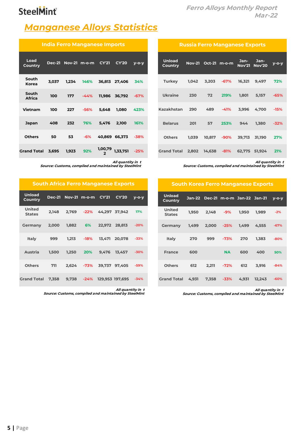### *Ferro Alloys Monthly Report Mar-22*

### *Manganese Alloys Statistics*

|                        | India Ferro Manganese Imports |       |                           |         |               |         |  |  |  |
|------------------------|-------------------------------|-------|---------------------------|---------|---------------|---------|--|--|--|
| Load<br>Country        |                               |       | Dec-21 Nov-21 m-o-m CY'21 |         | <b>CY'20</b>  | $V-O-V$ |  |  |  |
| South<br>Korea         | 3,037                         | 1.234 | 146%                      | 36,813  | 27,406        | 34%     |  |  |  |
| South<br><b>Africa</b> | 100                           | 177   | $-44%$                    | 11,986  | 36,792        | $-67%$  |  |  |  |
| Vietnam                | 100                           | 227   | $-56%$                    | 5.648   | 1.080         | 423%    |  |  |  |
| Japan                  | 408                           | 232   | 76%                       | 5.476   | 2,100         | 161%    |  |  |  |
| <b>Others</b>          | 50                            | 53    | $-6%$                     |         | 40,869 66,373 | $-38%$  |  |  |  |
| <b>Grand Total</b>     | 3,695                         | 1,923 | 92%                       | 1,00,79 | 1,33,751      | $-25%$  |  |  |  |

*All quantity in t Source: Customs, compiled and maintained by SteelMint*

### *South Africa Ferro Manganese Exports*

| <b>Unload</b><br>Country | <b>Dec-21</b> |       | Nov-21 m-o-m CY'21 |        | <b>CY'20</b>    | $V-O-V$ |
|--------------------------|---------------|-------|--------------------|--------|-----------------|---------|
| United<br><b>States</b>  | 2.148         | 2.769 | $-22%$             |        | 44.297 37.942   | 17%     |
| Germany                  | 2,000         | 1,882 | 6%                 |        | 22,972 28,813   | $-20%$  |
| Italy                    | 999           | 1.213 | $-18%$             | 13.471 | 20.078          | $-33%$  |
| Austria                  | 1.500         | 1.250 | 20%                | 9.476  | 13.457          | $-30%$  |
| Others                   | 711           |       | $2.624 - 73\%$     | 39.737 | 97.405          | $-59%$  |
| <b>Grand Total</b>       | 7.358         | 9.738 | $-24\%$            |        | 129,953 197,695 | $-34%$  |

*All quantity in t Source: Customs, compiled and maintained by SteelMint*

#### *Russia Ferro Manganese Exports*

| <b>Unload</b><br>Country      |       | Nov-21 Oct-21 m-o-m |              | Jan-   | $Jan-$<br><b>Nov'21 Nov'20</b> | $y$ -o- $y$ |  |
|-------------------------------|-------|---------------------|--------------|--------|--------------------------------|-------------|--|
| Turkey 1,042                  |       |                     | 3,203 -67%   | 16.321 | 9,497                          | 72%         |  |
| Ukraine                       |       | 230 72              |              |        | 219% 1.801 5.157               | $-65%$      |  |
| Kazakhstan                    |       |                     | 290 489 -41% | 3,996  | 4.700                          | $-15%$      |  |
| <b>Belarus</b>                |       | 201 57              | 253%         | 944    | 1,380 -32%                     |             |  |
| Others                        | 1.039 |                     | 10,817 -90%  | 39.713 | 31.190                         | 27%         |  |
| Grand Total 2,802 14,638 -81% |       |                     |              |        | 62,775 51,924                  | 21%         |  |

*All quantity in t Source: Customs, compiled and maintained by SteelMint*

#### *South Korea Ferro Manganese Exports*

| <b>Unload</b><br>Country       | Jan-22 |       | Dec-21 m-o-m Jan-22 Jan-21 |       |        | $V - O - V$ |  |
|--------------------------------|--------|-------|----------------------------|-------|--------|-------------|--|
| <b>United</b><br><b>States</b> | 1,950  | 2,148 | $-9%$                      | 1,950 | 1.989  | $-2%$       |  |
| Germany                        | 1.499  | 2,000 | $-25%$                     | 1.499 | 4,555  | $-67%$      |  |
| Italy                          | 270    | 999   | $-73%$                     | 270   | 1.383  | $-80%$      |  |
| <b>France</b>                  | 600    |       | <b>NA</b>                  | 600   | 400    | 50%         |  |
| <b>Others</b>                  | 612    | 2.211 | $-72%$                     | 612   | 3.916  | $-84%$      |  |
| <b>Grand Total</b>             | 4.931  | 7.358 | $-33%$                     | 4.931 | 12.243 | $-60%$      |  |

*All quantity in t Source: Customs, compiled and maintained by SteelMint*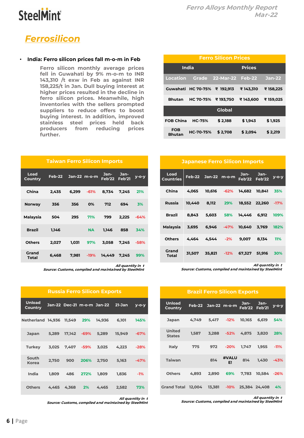

### *Ferrosilicon*

#### • **India: Ferro silicon prices fall m-o-m in Feb**

*Ferro silicon monthly average prices fell in Guwahati by 9% m-o-m to INR 143,310 /t exw in Feb as against INR 158,225/t in Jan. Dull buying interest at higher prices resulted in the decline in ferro silicon prices. Meanwhile, high inventories with the sellers prompted suppliers to reduce offers to boost buying interest. In addition, improved stainless steel prices held back producers from reducing prices further.*

|                      | <b>Ferro Silicon Prices</b>  |                        |               |               |  |  |  |  |
|----------------------|------------------------------|------------------------|---------------|---------------|--|--|--|--|
| India                |                              |                        | <b>Prices</b> |               |  |  |  |  |
| Location             |                              | Grade 22-Mar-22 Feb-22 |               | <b>Jan-22</b> |  |  |  |  |
|                      | Guwahati HC 70-75% ₹ 192.913 |                        | ₹143.310      | ₹ 158,225     |  |  |  |  |
| <b>Bhutan</b>        | <b>HC 70-75%</b>             | ₹193.750               | ₹143,600      | ₹159.025      |  |  |  |  |
|                      |                              | Global                 |               |               |  |  |  |  |
| <b>FOB China</b>     | <b>HC-75%</b>                | \$2.188                | \$1.943       | \$1.925       |  |  |  |  |
| FOB<br><b>Bhutan</b> | HC-70-75%                    | \$2.708                | \$2.094       | \$2.219       |  |  |  |  |

|  | <b>Japanese Ferro Silicon Imports</b> |  |
|--|---------------------------------------|--|
|  |                                       |  |

| Load<br>Countries |        | Feb-22 Jan-22 m-o-m          |             |        | Jan- Jan-<br>Feb'22 Feb'22 | $y$ -o-y |
|-------------------|--------|------------------------------|-------------|--------|----------------------------|----------|
| China             | 4.065  |                              | 10.616 -62% | 14.682 | 10,841                     | 35%      |
| Russia            | 10.440 |                              | 8.112 29%   |        | 18.552 22.260 -17%         |          |
| Brazil            |        | 8.843 5.603 58% 14.446 6.912 |             |        |                            | 109%     |
| Malaysia          |        | 3,695 6,946 -47% 10,640      |             |        | 3.769                      | 182%     |
| Others            |        | 4.464   4.544   -2%          |             | 9,007  | 8.134 11%                  |          |
| Grand<br>Total    | 31.507 |                              | 35.821 -12% |        | 67.327 51.916              | 30%      |

*All quantity in t Source: Customs, compiled and maintained by SteelMint*

| <b>Brazil Ferro Silicon Exports</b> |        |                     |             |        |                       |             |  |  |  |
|-------------------------------------|--------|---------------------|-------------|--------|-----------------------|-------------|--|--|--|
| <b>Unload</b><br>Country            |        | Feb-22 Jan-22 m-o-m |             | Jan-   | Jan-<br>Feb'22 Feb'21 | $V - O - V$ |  |  |  |
| Japan                               | 4.749  | 5.417               | $-12%$      | 10.165 | 6.619                 | 54%         |  |  |  |
| <b>United</b><br><b>States</b>      | 1,587  | 3,288               | -52%        | 4,875  | 3,820                 | 28%         |  |  |  |
| Italy                               | 775    | 972                 | $-20%$      | 1.747  | 1.955                 | $-11%$      |  |  |  |
| <b>Taiwan</b>                       |        | 814                 | #VALU<br>FI | 814    | 1,430                 | $-43%$      |  |  |  |
| <b>Others</b>                       | 4.893  | 2,890               | 69%         | 7.783  | 10.584                | $-26%$      |  |  |  |
| <b>Grand Total</b>                  | 12.004 | 13,381              | $-10%$      |        | 25,384 24,408         | 4%          |  |  |  |

*All quantity in t Source: Customs, compiled and maintained by SteelMint*

| <b>Taiwan Ferro Silicon Imports</b> |        |       |                |                              |       |        |  |  |
|-------------------------------------|--------|-------|----------------|------------------------------|-------|--------|--|--|
| Load<br>Country                     | Feb-22 |       | $Jan-22$ m-o-m | Jan-<br><b>Feb'22 Feb'21</b> | Jan-  | у-о-у  |  |  |
| China                               | 2.435  | 6.299 | -61%           | 8.734                        | 7.245 | 21%    |  |  |
| <b>Norway</b>                       | 356    | 356   | 0%             | 712                          | 694   | 3%     |  |  |
| Malaysia                            | 504    | 295   | 71%            | 799                          | 2.225 | $-64%$ |  |  |
| Brazil                              | 1,146  |       | <b>NA</b>      | 1,146                        | 858   | 34%    |  |  |
| <b>Others</b>                       | 2,027  | 1,031 | 97%            | 3,058                        | 7.245 | $-58%$ |  |  |
| Grand<br>Total                      | 6.468  | 7.981 | $-19%$         | 14.449                       | 7.245 | 99%    |  |  |

*All quantity in t Source: Customs, compiled and maintained by SteelMint*

| <b>Russia Ferro Silicon Exports</b> |       |       |                     |                            |            |          |  |  |  |  |
|-------------------------------------|-------|-------|---------------------|----------------------------|------------|----------|--|--|--|--|
| <b>Unload</b><br>Country            |       |       |                     | Jan-22 Dec-21 m-o-m Jan-22 | $21 - Jan$ | $V$ -O-V |  |  |  |  |
| Netherland 14.936 11.549            |       |       | 29%                 | 14.936                     | 6.101      | 145%     |  |  |  |  |
| Japan                               | 5,289 |       | <b>17,142</b> - 69% | 5.289                      | 15.949     | $-67%$   |  |  |  |  |
| Turkey                              | 3.025 |       | 7.407 -59%          | 3.025                      | 4.223      | $-28%$   |  |  |  |  |
| South<br><b>Korea</b>               | 2,750 | 900   | 206%                | 2,750                      | 5,163      | $-47%$   |  |  |  |  |
| India                               | 1.809 | 486   | 272%                | 1.809                      | 1,836      | $-1%$    |  |  |  |  |
| Others                              | 4.465 | 4,368 | <b>2%</b>           | 4.465                      | 2.582      | 73%      |  |  |  |  |

*All quantity in t*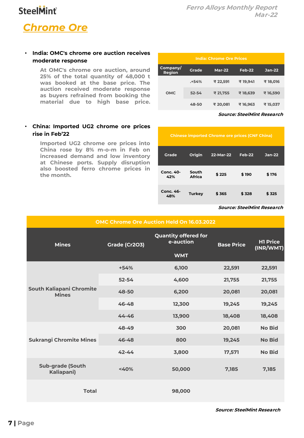### *Chrome Ore*

• **India: OMC's chrome ore auction receives moderate response**

> *At OMC's chrome ore auction, around 25% of the total quantity of 48,000 t was booked at the base price. The auction received moderate response as buyers refrained from booking the material due to high base price.*

#### • **China: Imported UG2 chrome ore prices rise in Feb'22**

*Imported UG2 chrome ore prices into China rose by 8% m-o-m in Feb on increased demand and low inventory at Chinese ports. Supply disruption also boosted ferro chrome prices in the month.*

| <b>India: Chrome Ore Prices</b> |           |               |          |               |  |  |  |  |  |
|---------------------------------|-----------|---------------|----------|---------------|--|--|--|--|--|
| Company/<br>Region              | Grade     | <b>Mar-22</b> | Feb-22   | <b>Jan-22</b> |  |  |  |  |  |
| <b>OMC</b>                      | $. +54%$  | ₹ 22,591      | ₹19.941  | ₹18,016       |  |  |  |  |  |
|                                 | $52 - 54$ | ₹ 21,755      | ₹18,639  | ₹ 16,590      |  |  |  |  |  |
|                                 | 48-50     | ₹ 20,081      | ₹ 16,963 | ₹ 15,037      |  |  |  |  |  |

*Source: SteelMint Research*

| <b>Chinese imported Chrome ore prices (CNF China)</b> |                 |           |        |        |  |  |  |  |
|-------------------------------------------------------|-----------------|-----------|--------|--------|--|--|--|--|
| Grade                                                 | Origin          | 22-Mar-22 | Feb-22 | Jan-22 |  |  |  |  |
| Conc. 40-<br>42%                                      | South<br>Africa | \$225     | \$190  | \$176  |  |  |  |  |
| Conc. 46-<br>48%                                      | <b>Turkey</b>   | \$365     | \$328  | \$325  |  |  |  |  |

#### *Source: SteelMint Research*

| <b>OMC Chrome Ore Auction Held On 16.03.2022</b> |               |                                          |                   |                              |  |  |  |  |  |
|--------------------------------------------------|---------------|------------------------------------------|-------------------|------------------------------|--|--|--|--|--|
| <b>Mines</b>                                     | Grade (Cr2O3) | <b>Quantity offered for</b><br>e-auction | <b>Base Price</b> | <b>H1 Price</b><br>(INR/WMT) |  |  |  |  |  |
|                                                  |               | <b>WMT</b>                               |                   |                              |  |  |  |  |  |
|                                                  | $+54%$        | 6,100                                    | 22,591            | 22,591                       |  |  |  |  |  |
|                                                  | $52 - 54$     | 4,600                                    | 21,755            | 21,755                       |  |  |  |  |  |
| <b>South Kaliapani Chromite</b><br><b>Mines</b>  | 48-50         | 6,200                                    | 20,081            | 20,081                       |  |  |  |  |  |
|                                                  | 46-48         | 12,300                                   | 19,245            | 19,245                       |  |  |  |  |  |
|                                                  | $44 - 46$     | 13,900                                   | 18,408            | 18,408                       |  |  |  |  |  |
|                                                  | 48-49         | 300                                      | 20,081            | <b>No Bid</b>                |  |  |  |  |  |
| <b>Sukrangi Chromite Mines</b>                   | 46-48         | 800                                      | 19,245            | <b>No Bid</b>                |  |  |  |  |  |
|                                                  | $42 - 44$     | 3,800                                    | 17,571            | <b>No Bid</b>                |  |  |  |  |  |
| <b>Sub-grade (South</b><br>Kaliapani)            | < 40%         | 50,000                                   | 7,185             | 7,185                        |  |  |  |  |  |
| <b>Total</b>                                     |               | 98,000                                   |                   |                              |  |  |  |  |  |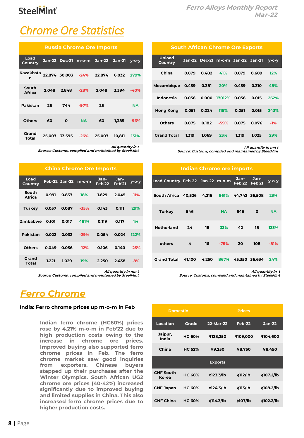## *Chrome Ore Statistics*

| <b>Russia Chrome Ore Imports</b>               |       |                          |           |                                   |            |           |  |  |
|------------------------------------------------|-------|--------------------------|-----------|-----------------------------------|------------|-----------|--|--|
| Load<br>Country                                |       |                          |           | Jan-22 Dec-21 m-o-m Jan-22 Jan-21 |            | $V-O-V$   |  |  |
| Kazakhsta <sub>22,874</sub> 30,003 -24% 22,874 |       |                          |           |                                   | 6.032 279% |           |  |  |
| South<br><b>Africa</b>                         | 2,048 |                          |           | 2,848 -28% 2,048                  | 3.394 -40% |           |  |  |
| Pakistan                                       |       | 25 744 -97%              |           | $\sim$ 25                         |            | <b>NA</b> |  |  |
| <b>Others</b>                                  | - 60  | $\overline{\phantom{a}}$ | <b>NA</b> | 60                                | 1.385      | $-96%$    |  |  |
| Grand<br>Total                                 |       | 25.007 33.595 -26%       |           | 25.007                            | 10.811     | 131%      |  |  |

*All quantity in t*

*Source: Customs, compiled and maintained by SteelMint*

| <b>China Chrome Ore Imports</b> |       |                      |          |                  |                       |          |  |  |  |
|---------------------------------|-------|----------------------|----------|------------------|-----------------------|----------|--|--|--|
| Load<br>Country                 |       | <b>Feb-22 Jan-22</b> | $m$ -o-m | $Jan-$<br>Feb'22 | Jan-<br><b>Feb'21</b> | $V$ -O-V |  |  |  |
| South<br><b>Africa</b>          | 0.991 | 0.837                | 18%      | 1.829            | 2.045                 | $-11%$   |  |  |  |
| Turkev                          | 0.057 | 0.087                | $-35%$   | 0.143            | 0.111                 | 29%      |  |  |  |
| Zimbabwe                        | 0.101 | 0.017                | 481%     | 0.119            | 0.117                 | $1\%$    |  |  |  |
| Pakistan                        | 0.022 | 0.032                | $-29%$   | 0.054            | 0.024                 | 122%     |  |  |  |
| <b>Others</b>                   | 0.049 | 0.056                | $-12%$   | 0.106            | 0.140                 | $-25%$   |  |  |  |
| Grand<br>Total                  | 1.221 | 1.029                | 19%      | 2.250            | 2.438                 | $-8%$    |  |  |  |

*All quantity in mn t*

*Source: Customs, compiled and maintained by SteelMint*

### *Ferro Chrome*

#### **India: Ferro chrome prices up m-o-m in Feb**

*Indian ferro chrome (HC60%) prices rose by 4.21% m-o-m in Feb'22 due to high production costs owing to the increase in chrome ore prices. Improved buying also supported ferro chrome prices in Feb. The ferro chrome market saw good inquiries from exporters. Chinese buyers stepped up their purchases after the Winter Olympics. South African UG2 chrome ore prices (40-42%) increased significantly due to improved buying and limited supplies in China. This also increased ferro chrome prices due to higher production costs.*

| <b>South African Chrome Ore Exports</b> |        |       |                            |       |       |         |  |  |  |  |
|-----------------------------------------|--------|-------|----------------------------|-------|-------|---------|--|--|--|--|
| <b>Unload</b><br><b>Country</b>         | Jan-22 |       | Dec-21 m-o-m Jan-22 Jan-21 |       |       | $V-O-V$ |  |  |  |  |
| China                                   | 0.679  | 0.482 | 41%                        | 0.679 | 0.609 | 12%     |  |  |  |  |
| Mozambique                              | 0.459  | 0.381 | 20%                        | 0.459 | 0.310 | 48%     |  |  |  |  |
| Indonesia                               | 0.056  |       | 0.000 17012%               | 0.056 | 0.015 | 262%    |  |  |  |  |
| Hong Kong                               | 0.051  | 0.024 | 115%                       | 0.051 | 0.015 | 243%    |  |  |  |  |
| <b>Others</b>                           | 0.075  | 0.182 | $-59%$                     | 0.075 | 0.076 | $-1%$   |  |  |  |  |
| <b>Grand Total</b>                      | 1.319  | 1.069 | 23%                        | 1.319 | 1.025 | 29%     |  |  |  |  |

*All quantity in mn t*

*Source: Customs, compiled and maintained by SteelMint*

| Indian Chrome ore imports                            |       |               |           |                       |                    |           |  |  |  |  |  |
|------------------------------------------------------|-------|---------------|-----------|-----------------------|--------------------|-----------|--|--|--|--|--|
| Load Country Feb-22 Jan-22 m-o-m                     |       |               |           | Jan-<br>Feb'22 Feb'21 | Jan-               | у-о-у     |  |  |  |  |  |
| South Africa 40,526   4,216   861%   44,742   36,508 |       |               |           |                       |                    | 23%       |  |  |  |  |  |
| Turkey                                               | - 546 |               | <b>NA</b> | 546                   | $\mathbf 0$        | <b>NA</b> |  |  |  |  |  |
| <b>Netherland</b>                                    | 24    | 18            |           | 33% 42                | 18                 | 133%      |  |  |  |  |  |
| others                                               | $-4$  | 16            | $-75%$    | 20                    | 108                | $-81%$    |  |  |  |  |  |
| Grand Total                                          |       | 41,100  4,250 |           |                       | 867% 45,350 36,634 | 24%       |  |  |  |  |  |

*All quantity in t*

| <b>Domestic</b>           |               | <b>Prices</b>  |          |           |  |  |  |
|---------------------------|---------------|----------------|----------|-----------|--|--|--|
| Location                  | Grade         | 22-Mar-22      | Feb-22   | $Jan-22$  |  |  |  |
| Jajpur,<br>India          | <b>HC 60%</b> | ₹128,250       | ₹109,000 | ₹104,600  |  |  |  |
| China                     | <b>HC 52%</b> | ¥9,250         | ¥8,750   | ¥8,450    |  |  |  |
|                           |               | <b>Exports</b> |          |           |  |  |  |
| <b>CNF South</b><br>Korea | <b>HC 60%</b> | ¢123.3/lb      | ¢112/lb  | ¢107.2/lb |  |  |  |
| <b>CNF Japan</b>          | <b>HC 60%</b> | ¢124.3/lb      | ¢113/lb  | ¢108.2/lb |  |  |  |
| <b>CNF China</b>          | <b>HC 60%</b> | ¢114.3/lb      | ¢107/lb  | ¢102.2/lb |  |  |  |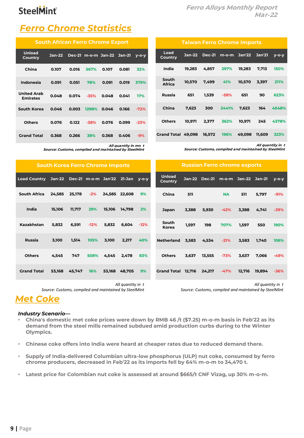*Taiwan Ferro Chrome Imports*

*Country Jan-22 Dec-21 m-o-m Jan'22 Jan'21 y-o-y*

*India 19,283 4,857 297% 19,283 7,713 150%*

*Africa 10,570 7,499 41% 10,570 3,397 211% Russia 651 1,539 -58% 651 90 623%*

*China 7,623 300 2441% 7,623 164 4548%*

*Others 10,971 2,377 362% 10,971 245 4378%*

*Grand Total 49,098 16,572 196% 49,098 11,609 323%*

*All quantity in t Source: Customs, compiled and maintained by SteelMint*

### **SteelMint**

### *Ferro Chrome Statistics*

| <b>South African Ferro Chrome Export</b> |        |       |        |                            |       |         |  |  |  |  |
|------------------------------------------|--------|-------|--------|----------------------------|-------|---------|--|--|--|--|
| <b>Unload</b><br>Country                 | Jan-22 |       |        | Dec-21 m-o-m Jan-22 Jan-21 |       | $V-O-V$ |  |  |  |  |
| China                                    | 0.107  | 0.016 | 567%   | 0.107                      | 0.081 | 32%     |  |  |  |  |
| Indonesia                                | 0.091  | 0.051 | 78%    | 0.091                      | 0.019 | 379%    |  |  |  |  |
| <b>United Arab</b><br><b>Emirates</b>    | 0.048  | 0.074 | $-35%$ | 0.048                      | 0.041 | 17%     |  |  |  |  |
| South Korea                              | 0.046  | 0.003 | 1298%  | 0.046                      | 0.166 | $-72%$  |  |  |  |  |
| <b>Others</b>                            | 0.076  | 0.122 | $-38%$ | 0.076                      | 0.099 | $-23%$  |  |  |  |  |
| <b>Grand Total</b>                       | 0.368  | 0.266 | 38%    | 0.368                      | 0.406 | $-9%$   |  |  |  |  |

*All quantity in mn t*

| Source: Customs, compiled and maintained by SteelMint |  |  |  |
|-------------------------------------------------------|--|--|--|
|-------------------------------------------------------|--|--|--|

| <b>South Korea Ferro Chrome Imports</b> |        |                                         |        |        | <b>Russian Ferro chrome exports</b> |        |                          |       |               |           |                     |        |         |
|-----------------------------------------|--------|-----------------------------------------|--------|--------|-------------------------------------|--------|--------------------------|-------|---------------|-----------|---------------------|--------|---------|
| <b>Load Country</b>                     |        | Jan-22 Dec-21 m-o-m Jan'22 21-Jan y-o-y |        |        |                                     |        | <b>Unload</b><br>Country |       | Jan-22 Dec-21 |           | m-o-m Jan-22 Jan-21 |        | $V-O-V$ |
| <b>South Africa</b>                     | 24,585 | 25,178                                  | $-2%$  | 24,585 | 22,608                              | 9%     | China                    | 511   |               | <b>NA</b> | 511                 | 5,797  | $-91%$  |
| India                                   | 15,106 | 11,717                                  | 29%    | 15,106 | 14,798                              | 2%     | Japan                    | 3,388 | 5,930         | $-43%$    | 3,388               | 4,741  | $-29%$  |
| Kazakhstan                              | 5,832  | 6,591                                   | $-12%$ | 5,832  | 6,604                               | $-12%$ | South<br>Korea           | 1,597 | 198           | 707%      | 1,597               | 550    | 190%    |
| <b>Russia</b>                           | 3,100  | 1,514                                   | 105%   | 3,100  | 2,217                               | 40%    | <b>Netherland</b>        | 3,583 | 4,534         | $-21%$    | 3,583               | 1,740  | 106%    |
| <b>Others</b>                           | 4,545  | 747                                     | 508%   | 4,545  | 2,478                               | 83%    | <b>Others</b>            | 3,637 | 13,555        | $-73%$    | 3,637               | 7,066  | $-49%$  |
| <b>Grand Total</b>                      | 53,168 | 45,747                                  | 16%    | 53,168 | 48,705                              | 9%     | Grand Total 12,716       |       | 24,217        | $-47%$    | 12,716              | 19,894 | $-36%$  |

*Load* 

*South* 

*All quantity in t Source: Customs, compiled and maintained by SteelMint* *All quantity in t*

*Source: Customs, compiled and maintained by SteelMint*

### *Met Coke*

### *Industry Scenario—*

- *China's domestic met coke prices were down by RMB 46 /t (\$7.25) m-o-m basis in Feb'22 as its demand from the steel mills remained subdued amid production curbs during to the Winter Olympics.*
- *Chinese coke offers into India were heard at cheaper rates due to reduced demand there.*
- *Supply of India-delivered Columbian ultra-low phosphorus (ULP) nut coke, consumed by ferro chrome producers, decreased in Feb'22 as its imports fell by 64% m-o-m to 34,470 t.*
- *Latest price for Colombian nut coke is assessed at around \$665/t CNF Vizag, up 30% m-o-m.*